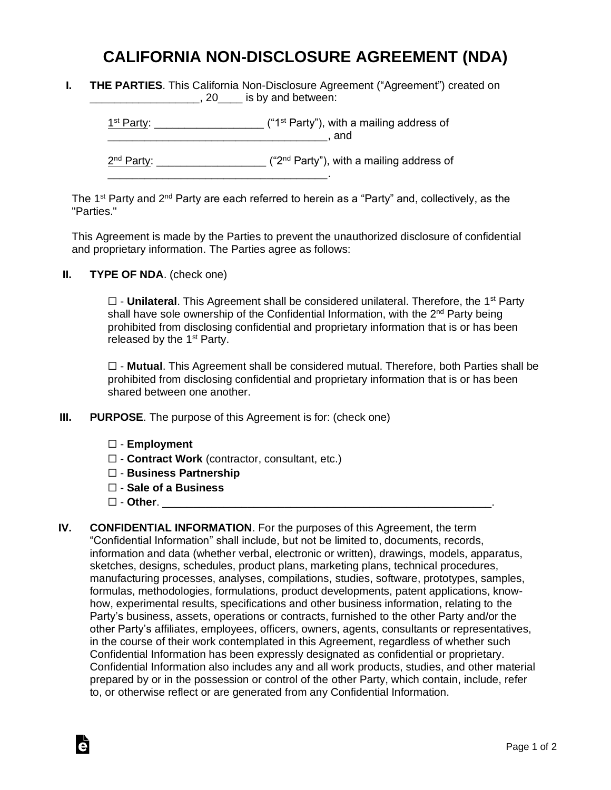## **CALIFORNIA NON-DISCLOSURE AGREEMENT (NDA)**

|  |                         | <b>THE PARTIES.</b> This California Non-Disclosure Agreement ("Agreement") created on |  |
|--|-------------------------|---------------------------------------------------------------------------------------|--|
|  | , 20 is by and between: |                                                                                       |  |

 $1<sup>st</sup> Party: _______$  $\blacksquare$  and  $\blacksquare$ 

2<sup>nd</sup> Party: \_\_\_\_\_\_\_\_\_\_\_\_\_\_\_\_\_\_\_\_ ("2<sup>nd</sup> Party"), with a mailing address of \_\_\_\_\_\_\_\_\_\_\_\_\_\_\_\_\_\_\_\_\_\_\_\_\_\_\_\_\_\_\_\_\_\_\_\_.

The 1<sup>st</sup> Party and 2<sup>nd</sup> Party are each referred to herein as a "Party" and, collectively, as the "Parties."

This Agreement is made by the Parties to prevent the unauthorized disclosure of confidential and proprietary information. The Parties agree as follows:

**II. TYPE OF NDA**. (check one)

□ - **Unilateral**. This Agreement shall be considered unilateral. Therefore, the 1<sup>st</sup> Party shall have sole ownership of the Confidential Information, with the 2<sup>nd</sup> Party being prohibited from disclosing confidential and proprietary information that is or has been released by the  $1<sup>st</sup>$  Party.

☐ - **Mutual**. This Agreement shall be considered mutual. Therefore, both Parties shall be prohibited from disclosing confidential and proprietary information that is or has been shared between one another.

- **III. PURPOSE**. The purpose of this Agreement is for: (check one)
	- ☐ **Employment**
	- ☐ **Contract Work** (contractor, consultant, etc.)
	- ☐ **Business Partnership**
	- ☐ **Sale of a Business**
	- ☐ **Other**. \_\_\_\_\_\_\_\_\_\_\_\_\_\_\_\_\_\_\_\_\_\_\_\_\_\_\_\_\_\_\_\_\_\_\_\_\_\_\_\_\_\_\_\_\_\_\_\_\_\_\_\_\_\_.

Ġ

**IV. CONFIDENTIAL INFORMATION**. For the purposes of this Agreement, the term "Confidential Information" shall include, but not be limited to, documents, records, information and data (whether verbal, electronic or written), drawings, models, apparatus, sketches, designs, schedules, product plans, marketing plans, technical procedures, manufacturing processes, analyses, compilations, studies, software, prototypes, samples, formulas, methodologies, formulations, product developments, patent applications, knowhow, experimental results, specifications and other business information, relating to the Party's business, assets, operations or contracts, furnished to the other Party and/or the other Party's affiliates, employees, officers, owners, agents, consultants or representatives, in the course of their work contemplated in this Agreement, regardless of whether such Confidential Information has been expressly designated as confidential or proprietary. Confidential Information also includes any and all work products, studies, and other material prepared by or in the possession or control of the other Party, which contain, include, refer to, or otherwise reflect or are generated from any Confidential Information.